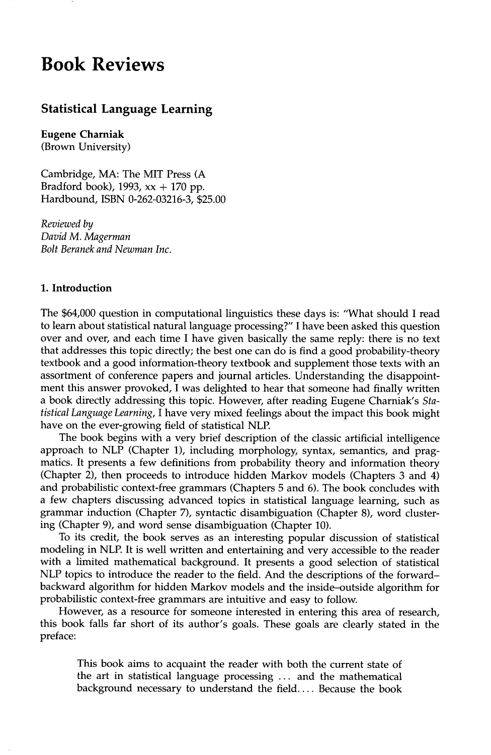# **Book Reviews**

# **Statistical Language Learning**

**Eugene Charniak**  (Brown University)

Cambridge, MA: The MIT Press (A Bradford book), 1993,  $xx + 170$  pp. Hardbound, ISBN 0-262-03216-3, \$25.00

*Reviewed by David M. Magerman Bolt Beranek and Newman Inc.* 

## **1. Introduction**

The \$64,000 question in computational linguistics these days is: "What should I read to learn about statistical natural language processing?" I have been asked this question over and over, and each time I have given basically the same reply: there is no text that addresses this topic directly; the best one can do is find a good probability-theory textbook and a good information-theory textbook and supplement those texts with an assortment of conference papers and journal articles. Understanding the disappointment this answer provoked, I was delighted to hear that someone had finally written a book directly addressing this topic. However, after reading Eugene Charniak's *Statistical Language Learning,* I have very mixed feelings about the impact this book might have on the ever-growing field of statistical NLP.

The book begins with a very brief description of the classic artificial intelligence approach to NLP (Chapter 1), including morphology, syntax, semantics, and pragmatics. It presents a few definitions from probability theory and information theory (Chapter 2), then proceeds to introduce hidden Markov models (Chapters 3 and 4) and probabilistic context-free grammars (Chapters 5 and 6). The book concludes with a few chapters discussing advanced topics in statistical language learning, such as grammar induction (Chapter 7), syntactic disambiguation (Chapter 8), word clustering (Chapter 9), and word sense disambiguation (Chapter 10).

To its credit, the book serves as an interesting popular discussion of statistical modeling in NLP. It is well written and entertaining and very accessible to the reader with a limited mathematical background. It presents a good selection of statistical NLP topics to introduce the reader to the field. And the descriptions of the forwardbackward algorithm for hidden Markov models and the inside-outside algorithm for probabilistic context-free grammars are intuitive and easy to follow.

However, as a resource for someone interested in entering this area of research, this book falls far short of its author's goals. These goals are clearly stated in the preface:

This book aims to acquaint the reader with both the current state of the art in statistical language processing ... and the mathematical background necessary to understand the field.... Because the book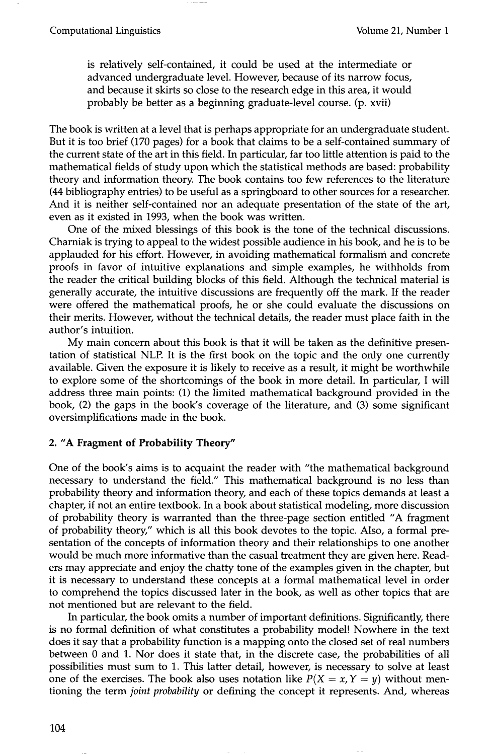is relatively self-contained, it could be used at the intermediate or advanced undergraduate level. However, because of its narrow focus, and because it skirts so close to the research edge in this area, it would probably be better as a beginning graduate-level course. (p. xvii)

The book is written at a level that is perhaps appropriate for an undergraduate student. But it is too brief (170 pages) for a book that claims to be a self-contained summary of the current state of the art in this field. In particular, far too little attention is paid to the mathematical fields of study upon which the statistical methods are based: probability theory and information theory. The book contains too few references to the literature (44 bibliography entries) to be useful as a springboard to other sources for a researcher. And it is neither self-contained nor an adequate presentation of the state of the art, even as it existed in 1993, when the book was written.

One of the mixed blessings of this book is the tone of the technical discussions. Charniak is trying to appeal to the widest possible audience in his book, and he is to be applauded for his effort. However, in avoiding mathematical formalism and concrete proofs in favor of intuitive explanations and simple examples, he withholds from the reader the critical building blocks of this field. Although the technical material is generally accurate, the intuitive discussions are frequently off the mark. If the reader were offered the mathematical proofs, he or she could evaluate the discussions on their merits. However, without the technical details, the reader must place faith in the author's intuition.

My main concern about this book is that it will be taken as the definitive presentation of statistical NLP. It is the first book on the topic and the only one currently available. Given the exposure it is likely to receive as a result, it might be worthwhile to explore some of the shortcomings of the book in more detail. In particular, I will address three main points: (1) the limited mathematical background provided in the book, (2) the gaps in the book's coverage of the literature, and (3) some significant oversimplifications made in the book.

### **2. "A Fragment of Probability Theory"**

One of the book's aims is to acquaint the reader with "the mathematical background necessary to understand the field." This mathematical background is no less than probability theory and information theory, and each of these topics demands at least a chapter, if not an entire textbook. In a book about statistical modeling, more discussion of probability theory is warranted than the three-page section entitled "A fragment of probability theory," which is all this book devotes to the topic. Also, a formal presentation of the concepts of information theory and their relationships to one another would be much more informative than the casual treatment they are given here. Readers may appreciate and enjoy the chatty tone of the examples given in the chapter, but it is necessary to understand these concepts at a formal mathematical level in order to comprehend the topics discussed later in the book, as well as other topics that are not mentioned but are relevant to the field.

In particular, the book omits a number of important definitions. Significantly, there is no formal definition of what constitutes a probability model! Nowhere in the text does it say that a probability function is a mapping onto the closed set of real numbers between 0 and 1. Nor does it state that, in the discrete case, the probabilities of all possibilities must sum to 1. This latter detail, however, is necessary to solve at least one of the exercises. The book also uses notation like  $P(X = x, Y = y)$  without mentioning the term *joint probability* or defining the concept it represents. And, whereas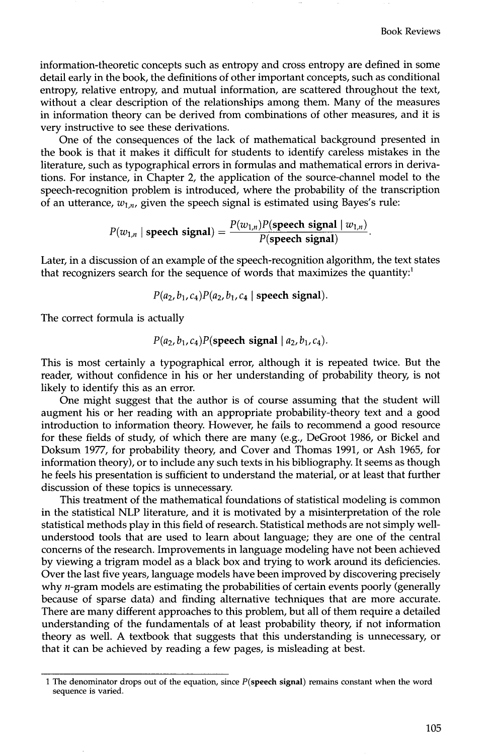information-theoretic concepts such as entropy and cross entropy are defined in some detail early in the book, the definitions of other important concepts, such as conditional entropy, relative entropy, and mutual information, are scattered throughout the text, without a clear description of the relationships among them. Many of the measures in information theory can be derived from combinations of other measures, and it is very instructive to see these derivations.

One of the consequences of the lack of mathematical background presented in the book is that it makes it difficult for students to identify careless mistakes in the literature, such as typographical errors in formulas and mathematical errors in derivations. For instance, in Chapter 2, the application of the source-channel model to the speech-recognition problem is introduced, where the probability of the transcription of an utterance,  $w_{1,n}$ , given the speech signal is estimated using Bayes's rule:

$$
P(w_{1,n} \mid \text{ speech signal}) = \frac{P(w_{1,n})P(\text{speed signal} \mid w_{1,n})}{P(\text{speed signal})}.
$$

Later, in a discussion of an example of the speech-recognition algorithm, the text states that recognizers search for the sequence of words that maximizes the quantity:<sup>1</sup>

$$
P(a_2, b_1, c_4)P(a_2, b_1, c_4 \mid \text{ speech signal}).
$$

The correct formula is actually

$$
P(a_2, b_1, c_4)P
$$
 (speedh signal |  $a_2, b_1, c_4$ ).

This is most certainly a typographical error, although it is repeated twice. But the reader, without confidence in his or her understanding of probability theory, is not likely to identify this as an error.

One might suggest that the author is of course assuming that the student will augment his or her reading with an appropriate probability-theory text and a good introduction to information theory. However, he fails to recommend a good resource for these fields of study, of which there are many (e.g., DeGroot 1986, or Bickel and Doksum 1977, for probability theory, and Cover and Thomas 1991, or Ash 1965, for information theory), or to include any such texts in his bibliography. It seems as though he feels his presentation is sufficient to understand the material, or at least that further discussion of these topics is unnecessary.

This treatment of the mathematical foundations of statistical modeling is common in the statistical NLP literature, and it is motivated by a misinterpretation of the role statistical methods play in this field of research. Statistical methods are not simply wellunderstood tools that are used to learn about language; they are one of the central concerns of the research. Improvements in language modeling have not been achieved by viewing a trigram model as a black box and trying to work around its deficiencies. Over the last five years, language models have been improved by discovering precisely why  $n$ -gram models are estimating the probabilities of certain events poorly (generally because of sparse data) and finding alternative techniques that are more accurate. There are many different approaches to this problem, but all of them require a detailed understanding of the fundamentals of at least probability theory, if not information theory as well. A textbook that suggests that this understanding is unnecessary, or that it can be achieved by reading a few pages, is misleading at best.

<sup>1</sup> The denominator drops out of the equation, since **P(speech signal)** remains constant when the word sequence is varied.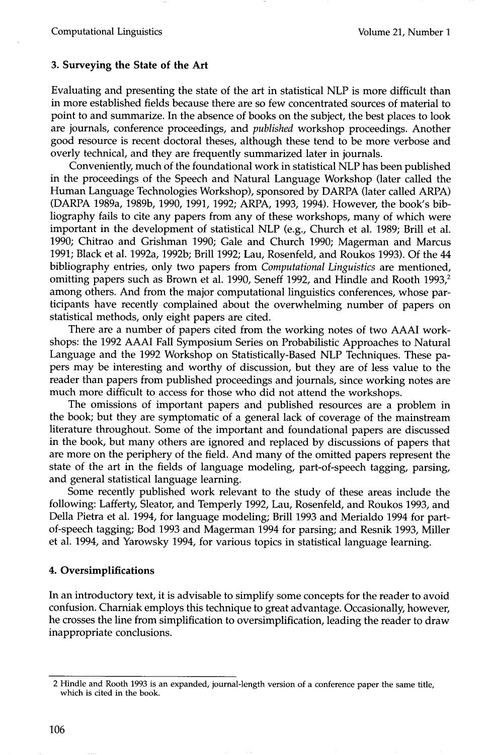## **3. Surveying the State of the Art**

Evaluating and presenting the state of the art in statistical NLP is more difficult than in more established fields because there are so few concentrated sources of material to point to and summarize. In the absence of books on the subject, the best places to look are journals, conference proceedings, and *published* workshop proceedings. Another good resource is recent doctoral theses, although these tend to be more verbose and overly technical, and they are frequently summarized later in journals.

Conveniently, much of the foundational work in statistical NLP has been published in the proceedings of the Speech and Natural Language Workshop (later called the Human Language Technologies Workshop), sponsored by DARPA (later called ARPA) (DARPA 1989a, 1989b, 1990, 1991, 1992; ARPA, 1993, 1994). However, the book's bibliography fails to cite any papers from any of these workshops, many of which were important in the development of statistical NLP (e.g., Church et al. 1989; Brill et al. 1990; Chitrao and Grishman 1990; Gale and Church 1990; Magerman and Marcus 1991; Black et al. 1992a, 1992b; Brill 1992; Lau, Rosenfeld, and Roukos 1993). Of the 44 bibliography entries, only two papers from *Computational Linguistics* are mentioned, omitting papers such as Brown et al. 1990, Seneff 1992, and Hindle and Rooth 1993,<sup>2</sup> among others. And from the major computational linguistics conferences, whose participants have recently complained about the overwhelming number of papers on statistical methods, only eight papers are cited.

There are a number of papers cited from the working notes of two AAAI workshops: the 1992 AAAI Fall Symposium Series on Probabilistic Approaches to Natural Language and the 1992 Workshop on Statistically-Based NLP Techniques. These papers may be interesting and worthy of discussion, but they are of less value to the reader than papers from published proceedings and journals, since working notes are much more difficult to access for those who did not attend the workshops.

The omissions of important papers and published resources are a problem in the book; but they are symptomatic of a general lack of coverage of the mainstream literature throughout. Some of the important and foundational papers are discussed in the book, but many others are ignored and replaced by discussions of papers that are more on the periphery of the field. And many of the omitted papers represent the state of the art in the fields of language modeling, part-of-speech tagging, parsing, and general statistical language learning.

Some recently published work relevant to the study of these areas include the following: Lafferty, Sleator, and Temperly 1992, Lau, Rosenfeld, and Roukos 1993, and Della Pietra et al. 1994, for language modeling; Brill 1993 and Merialdo 1994 for partof-speech tagging; Bod 1993 and Magerman 1994 for parsing; and Resnik 1993, Miller et al. 1994, and Yarowsky 1994, for various topics in statistical language learning.

# **4. Oversimplifications**

In an introductory text, it is advisable to simplify some concepts for the reader to avoid confusion. Charniak employs this technique to great advantage. Occasionally, however, he crosses the line from simplification to oversimplification, leading the reader to draw inappropriate conclusions.

<sup>2</sup> Hindle and Rooth 1993 is an expanded, journal-length version of a conference paper the same title, which is cited in the book.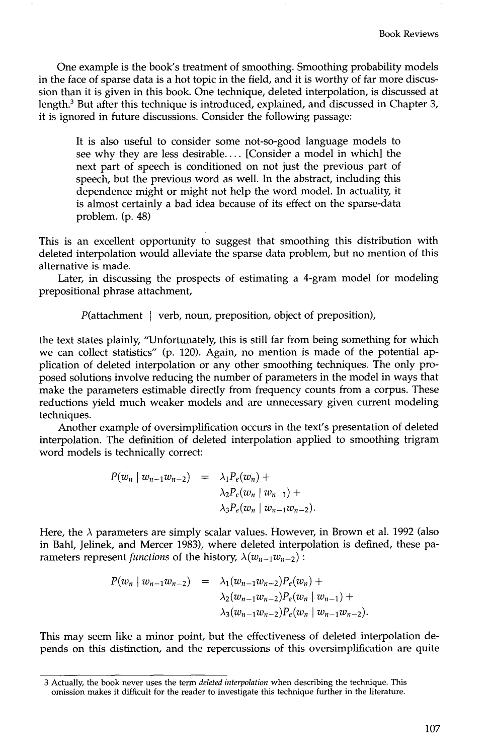One example is the book's treatment of smoothing. Smoothing probability models in the face of sparse data is a hot topic in the field, and it is worthy of far more discussion than it is given in this book. One technique, deleted interpolation, is discussed at length.<sup>3</sup> But after this technique is introduced, explained, and discussed in Chapter 3, it is ignored in future discussions. Consider the following passage:

It is also useful to consider some not-so-good language models to see why they are less desirable.... [Consider a model in which] the next part of speech is conditioned on not just the previous part of speech, but the previous word as well. In the abstract, including this dependence might or might not help the word model. In actuality, it is almost certainly a bad idea because of its effect on the sparse-data problem. (p. 48)

This is an excellent opportunity to suggest that smoothing this distribution with deleted interpolation would alleviate the sparse data problem, but no mention of this alternative is made.

Later, in discussing the prospects of estimating a 4-gram model for modeling prepositional phrase attachment,

$$
P(\text{attachment } | \text{verb, noun, preposition, object of preposition}),
$$

the text states plainly, "Unfortunately, this is still far from being something for which we can collect statistics" (p. 120). Again, no mention is made of the potential application of deleted interpolation or any other smoothing techniques. The only proposed solutions involve reducing the number of parameters in the model in ways that make the parameters estimable directly from frequency counts from a corpus. These reductions yield much weaker models and are unnecessary given current modeling techniques.

Another example of oversimplification occurs in the text's presentation of deleted interpolation. The definition of deleted interpolation applied to smoothing trigram word models is technically correct:

$$
P(w_n | w_{n-1}w_{n-2}) = \lambda_1 P_e(w_n) +
$$
  
\n
$$
\lambda_2 P_e(w_n | w_{n-1}) +
$$
  
\n
$$
\lambda_3 P_e(w_n | w_{n-1}w_{n-2}).
$$

Here, the  $\lambda$  parameters are simply scalar values. However, in Brown et al. 1992 (also in Bahl, Jelinek, and Mercer 1983), where deleted interpolation is defined, these parameters represent *functions* of the history,  $\lambda(w_{n-1}w_{n-2})$ :

$$
P(w_n | w_{n-1}w_{n-2}) = \lambda_1(w_{n-1}w_{n-2})P_e(w_n) +
$$
  
\n
$$
\lambda_2(w_{n-1}w_{n-2})P_e(w_n | w_{n-1}) +
$$
  
\n
$$
\lambda_3(w_{n-1}w_{n-2})P_e(w_n | w_{n-1}w_{n-2}).
$$

This may seem like a minor point, but the effectiveness of deleted interpolation depends on this distinction, and the repercussions of this oversimplification are quite

<sup>3</sup> Actually, the book never uses the term *deleted interpolation* when describing the technique. This omission makes it difficult for the reader to investigate this technique further in the literature.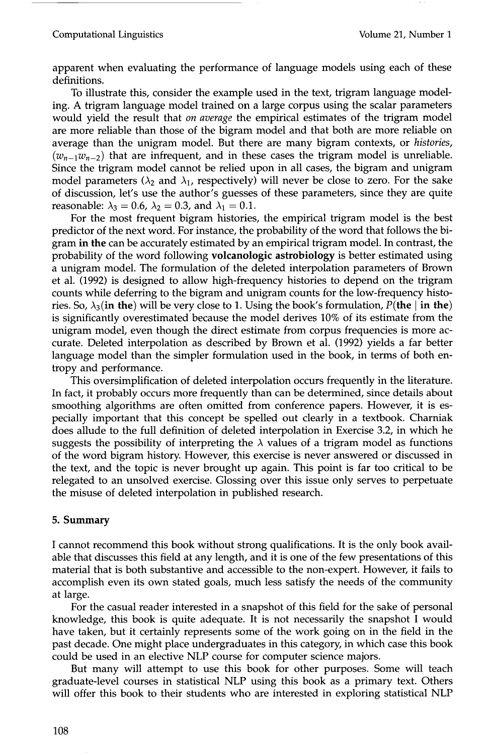#### Computational Linguistics Volume 21, Number 1

apparent when evaluating the performance of language models using each of these definitions.

To illustrate this, consider the example used in the text, trigram language modeling. A trigram language model trained on a large corpus using the scalar parameters would yield the result that *on average* the empirical estimates of the trigram model are more reliable than those of the bigram model and that both are more reliable on average than the unigram model. But there are many bigram contexts, or *histories,*   $(w_{n-1}w_{n-2})$  that are infrequent, and in these cases the trigram model is unreliable. Since the trigram model cannot be relied upon in all cases, the bigram and unigram model parameters ( $\lambda_2$  and  $\lambda_1$ , respectively) will never be close to zero. For the sake of discussion, let's use the author's guesses of these parameters, since they are quite reasonable:  $\lambda_3 = 0.6$ ,  $\lambda_2 = 0.3$ , and  $\lambda_1 = 0.1$ .

For the most frequent bigram histories, the empirical trigram model is the best predictor of the next word. For instance, the probability of the word that follows the bigram in the can be accurately estimated by an empirical trigram model. In contrast, the probability of the word following volcanologic astrobiology is better estimated using a unigram model. The formulation of the deleted interpolation parameters of Brown et al. (1992) is designed to allow high-frequency histories to depend on the trigram counts while deferring to the bigram and unigram counts for the low-frequency histories. So,  $\lambda_3$ (in the) will be very close to 1. Using the book's formulation, P(the  $\vert$  in the) is significantly overestimated because the model derives 10% of its estimate from the unigram model, even though the direct estimate from corpus frequencies is more accurate. Deleted interpolation as described by Brown et al. (1992) yields a far better language model than the simpler formulation used in the book, in terms of both entropy and performance.

This oversimplification of deleted interpolation occurs frequently in the literature. In fact, it probably occurs more frequently than can be determined, since details about smoothing algorithms are often omitted from conference papers. However, it is especially important that this concept be spelled out clearly in a textbook. Charniak does allude to the full definition of deleted interpolation in Exercise 3.2, in which he suggests the possibility of interpreting the  $\lambda$  values of a trigram model as functions of the word bigram history. However, this exercise is never answered or discussed in the text, and the topic is never brought up again. This point is far too critical to be relegated to an unsolved exercise. Glossing over this issue only serves to perpetuate the misuse of deleted interpolation in published research.

#### **5. Summary**

I cannot recommend this book without strong qualifications. It is the only book available that discusses this field at any length, and it is one of the few presentations of this material that is both substantive and accessible to the non-expert. However, it fails to accomplish even its own stated goals, much less satisfy the needs of the community at large.

For the casual reader interested in a snapshot of this field for the sake of personal knowledge, this book is quite adequate. It is not necessarily the snapshot I would have taken, but it certainly represents some of the work going on in the field in the past decade. One might place undergraduates in this category, in which case this book could be used in an elective NLP course for computer science majors.

But many will attempt to use this book for other purposes. Some will teach graduate-level courses in statistical NLP using this book as a primary text. Others will offer this book to their students who are interested in exploring statistical NLP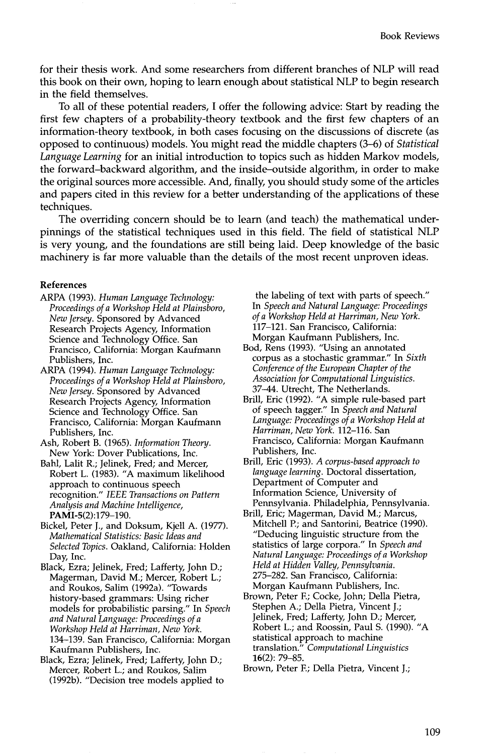for their thesis work. And some researchers from different branches of NLP will read this book on their own, hoping to learn enough about statistical NLP to begin research in the field themselves.

To all of these potential readers, I offer the following advice: Start by reading the first few chapters of a probability-theory textbook and the first few chapters of an information-theory textbook, in both cases focusing on the discussions of discrete (as opposed to continuous) models. You might read the middle chapters (3-6) of *Statistical Language Learning* for an initial introduction to topics such as hidden Markov models, the forward-backward algorithm, and the inside-outside algorithm, in order to make the original sources more accessible. And, finally, you should study some of the articles and papers cited in this review for a better understanding of the applications of these techniques.

The overriding concern should be to learn (and teach) the mathematical underpinnings of the statistical techniques used in this field. The field of statistical NLP is very young, and the foundations are still being laid. Deep knowledge of the basic machinery is far more valuable than the details of the most recent unproven ideas.

#### **References**

- ARPA (1993). *Human Language Technology: Proceedings of a Workshop Held at Plainsboro, New Jersey.* Sponsored by Advanced Research Projects Agency, Information Science and Technology Office. San Francisco, California: Morgan Kaufmann Publishers, Inc.
- ARPA (1994). *Human Language Technology: Proceedings of a Workshop Held at Plainsboro, New Jersey.* Sponsored by Advanced Research Projects Agency, Information Science and Technology Office. San Francisco, California: Morgan Kaufmann Publishers, Inc.
- Ash, Robert B. (1965). *Information Theory.*  New York: Dover Publications, Inc.
- Bahl, Lalit R.; Jelinek, Fred; and Mercer, Robert L. (1983). "A maximum likelihood approach to continuous speech recognition." *IEEE Transactions on Pattern Analysis and Machine Intelligence,*  PAMI-5(2):179-190.
- Bickel, Peter J., and Doksum, Kjell A. (1977). *Mathematical Statistics: Basic Ideas and Selected Topics.* Oakland, California: Holden Day, Inc.
- Black, Ezra; Jelinek, Fred; Lafferty, John D.; Magerman, David M.; Mercer, Robert L.; and Roukos, Salim (1992a). "Towards history-based grammars: Using richer models for probabilistic parsing." In *Speech and Natural Language: Proceedings of a Workshop Held at Harriman, New York.*  134-139. San Francisco, California: Morgan Kaufmann Publishers, Inc.
- Black, Ezra; Jelinek, Fred; Lafferty, John D.; Mercer, Robert L.; and Roukos, Salim (1992b). "Decision tree models applied to

the labeling of text with parts of speech." In *Speech and Natural Language: Proceedings of a Workshop Held at Harriman, New York.*  117-121. San Francisco, California: Morgan Kaufmann Publishers, Inc.

- Bod, Rens (1993). "Using an annotated corpus as a stochastic grammar." In *Sixth Conference of the European Chapter of the Association for Computational Linguistics.*  37-44. Utrecht, The Netherlands.
- Brill, Eric (1992). "A simple rule-based part of speech tagger." In *Speech and Natural Language: Proceedings of a Workshop Held at Harriman, New York.* 112-116. San Francisco, California: Morgan Kaufmann Publishers, Inc.
- Brill, Eric (1993). *A corpus-based approach to language learning.* Doctoral dissertation, Department of Computer and Information Science, University of Pennsylvania. Philadelphia, Pennsylvania.
- Brill, Eric; Magerman, David M.; Marcus, Mitchell P.; and Santorini, Beatrice (1990). "Deducing linguistic structure from the statistics of large corpora." In *Speech and Natural Language: Proceedings of a Workshop Held at Hidden Valley, Pennsylvania.*  275-282. San Francisco, California: Morgan Kaufmann Publishers, Inc.
- Brown, Peter F.; Cocke, John; Della Pietra, Stephen A.; Della Pietra, Vincent J.; Jelinek, Fred; Lafferty, John D.; Mercer, Robert L.; and Roossin, Paul S. (1990). "A statistical approach to machine translation." *Computational Linguistics*  16(2): 79-85.
- Brown, Peter E; Della Pietra, Vincent J.;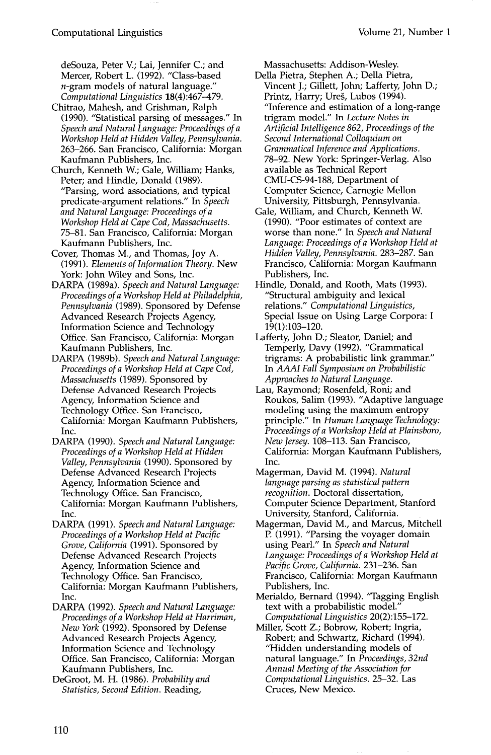deSouza, Peter V.; Lai, Jennifer C.; and Mercer, Robert L. (1992). "Class-based  $n$ -gram models of natural language." *Computational Linguistics* 18(4):467-479.

- Chitrao, Mahesh, and Grishman, Ralph (1990). "Statistical parsing of messages." In *Speech and Natural Language: Proceedings of a Workshop Held at Hidden Valley, Pennsylvania.*  263-266. San Francisco, California: Morgan Kaufmann Publishers, Inc.
- Church, Kenneth W.; Gale, William; Hanks, Peter; and Hindle, Donald (1989). "Parsing, word associations, and typical predicate-argument relations." In *Speech and Natural Language: Proceedings of a Workshop Held at Cape Cod, Massachusetts.*  75-81. San Francisco, California: Morgan Kaufmann Publishers, Inc.
- Cover, Thomas M., and Thomas, Joy A. (1991). *Elements of Information Theory.* New York: John Wiley and Sons, Inc.
- DARPA (1989a). *Speech and Natural Language: Proceedings of a Workshop Held at Philadelphia, Pennsylvania* (1989). Sponsored by Defense Advanced Research Projects Agency, Information Science and Technology Office. San Francisco, California: Morgan Kaufmann Publishers, Inc.
- DARPA (1989b). *Speech and Natural Language: Proceedings of a Workshop Held at Cape Cod, Massachusetts* (1989). Sponsored by Defense Advanced Research Projects Agency, Information Science and Technology Office. San Francisco, California: Morgan Kaufmann Publishers, Inc.
- DARPA (1990). *Speech and Natural Language: Proceedings of a Workshop Held at Hidden Valley, Pennsylvania* (1990). Sponsored by Defense Advanced Research Projects Agency, Information Science and Technology Office. San Francisco, California: Morgan Kaufmann Publishers, Inc.
- DARPA (1991). *Speech and Natural Language: Proceedings of a Workshop Held at Pacific Grove, California* (1991). Sponsored by Defense Advanced Research Projects Agency, Information Science and Technology Office. San Francisco, California: Morgan Kaufmann Publishers, Inc.
- DARPA (1992). *Speech and Natural Language: Proceedings of a Workshop Held at Harriman, New York* (1992). Sponsored by Defense Advanced Research Projects Agency, Information Science and Technology Office. San Francisco, California: Morgan Kaufmann Publishers, Inc.
- DeGroot, M. H. (1986). *Probability and Statistics, Second Edition.* Reading,

Massachusetts: Addison-Wesley.

- Della Pietra, Stephen A.; Della Pietra, Vincent J.; Gillett, John; Lafferty, John D.; Printz, Harry; Ureš, Lubos (1994). "Inference and estimation of a long-range trigram model." In *Lecture Notes in Artificial Intelligence 862, Proceedings of the Second International Colloquium on Grammatical Inference and Applications.*  78-92. New York: Springer-Verlag. Also available as Technical Report CMU-CS-94-188, Department of Computer Science, Carnegie Mellon University, Pittsburgh, Pennsylvania.
- Gale, William, and Church, Kenneth W. (1990). "Poor estimates of context are worse than none." In *Speech and Natural Language: Proceedings of a Workshop Held at Hidden Valley, Pennsylvania.* 283-287. San Francisco, California: Morgan Kaufmann Publishers, Inc.
- Hindle, Donald, and Rooth, Mats (1993). "Structural ambiguity and lexical relations." *Computational Linguistics,*  Special Issue on Using Large Corpora: I 19(1):103-120.
- Lafferty, John D.; Sleator, Daniel; and Temperly, Davy (1992). "Grammatical trigrams: A probabilistic link grammar." In *AAAI Fall Symposium on Probabilistic Approaches to Natural Language.*
- Lau, Raymond; Rosenfeld, Roni; and Roukos, Salim (1993). "Adaptive language modeling using the maximum entropy principle." In *Human Language Technology: Proceedings of a Workshop Held at Plainsboro, New Jersey.* 108-113. San Francisco, California: Morgan Kaufmann Publishers, Inc.
- Magerman, David M. (1994). *Natural language parsing as statistical pattern recognition.* Doctoral dissertation, Computer Science Department, Stanford University, Stanford, California.
- Magerman, David M., and Marcus, Mitchell P. (1991). "Parsing the voyager domain using Pearl." In *Speech and Natural Language: Proceedings of a Workshop Held at Pacific Grove, California.* 231-236. San Francisco, California: Morgan Kaufmann Publishers, Inc.
- Merialdo, Bernard (1994). "Tagging English text with a probabilistic model." *Computational Linguistics* 20(2):155-172.
- Miller, Scott Z.; Bobrow, Robert; Ingria, Robert; and Schwartz, Richard (1994). "Hidden understanding models of natural language." In *Proceedings, 32nd Annual Meeting of the Association for Computational Linguistics.* 25-32. Las Cruces, New Mexico.